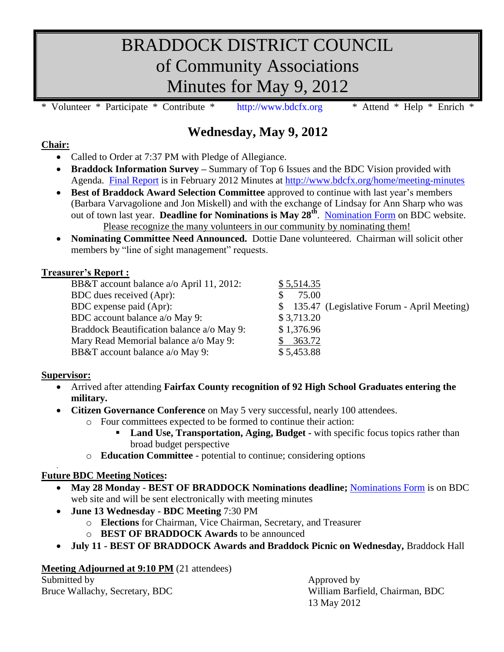# BRADDOCK DISTRICT COUNCIL of Community Associations Minutes for May 9, 2012

Volunteer \* Participate \* Contribute \* [http://www.bdcfx.org](http://www.bdcfx.org/) \* Attend \* Help \* Enrich \*

### **Wednesday, May 9, 2012**

#### **Chair:**

- Called to Order at 7:37 PM with Pledge of Allegiance.
- **Braddock Information Survey –** Summary of Top 6 Issues and the BDC Vision provided with Agenda. [Final Report](https://docs.google.com/viewer?a=v&pid=sites&srcid=ZGVmYXVsdGRvbWFpbnxiZGNmeHZhfGd4OjVhZjY1ZjdlNmMwMTNmN2M&pli=1) is in February 2012 Minutes at<http://www.bdcfx.org/home/meeting-minutes>
- **Best of Braddock Award Selection Committee** approved to continue with last year's members (Barbara Varvagolione and Jon Miskell) and with the exchange of Lindsay for Ann Sharp who was out of town last year. **Deadline for Nominations is May 28<sup>th</sup>**. [Nomination Form](http://www.bdcfx.org/home/announcements-and-events/nominationsfor2011-2012bestofbraddockaward/BOB_Awards_Nomination_Form_2012.doc) on BDC website. Please recognize the many volunteers in our community by nominating them!
- **Nominating Committee Need Announced.** Dottie Dane volunteered. Chairman will solicit other members by "line of sight management" requests.

#### **Treasurer's Report :**

| $\cdots$ between $\cdots$                  |                                               |
|--------------------------------------------|-----------------------------------------------|
| BB&T account balance a/o April 11, 2012:   | \$5,514.35                                    |
| BDC dues received (Apr):                   | 75.00                                         |
| BDC expense paid (Apr):                    | \$ 135.47 (Legislative Forum - April Meeting) |
| BDC account balance a/o May 9:             | \$3,713.20                                    |
| Braddock Beautification balance a/o May 9: | \$1,376.96                                    |
| Mary Read Memorial balance a/o May 9:      | 363.72                                        |
| BB&T account balance a/o May 9:            | \$5,453.88                                    |
|                                            |                                               |

#### **Supervisor:**

- Arrived after attending **Fairfax County recognition of 92 High School Graduates entering the military.**
- **Citizen Governance Conference** on May 5 very successful, nearly 100 attendees.
	- o Four committees expected to be formed to continue their action:
		- **Land Use, Transportation, Aging, Budget -** with specific focus topics rather than broad budget perspective
	- o **Education Committee -** potential to continue; considering options

#### . **Future BDC Meeting Notices:**

- **May 28 Monday - BEST OF BRADDOCK Nominations deadline;** [Nominations Form](http://www.bdcfx.org/home/announcements-and-events/nominationsfor2011-2012bestofbraddockaward/BOB_Awards_Nomination_Form_2012.doc) is on BDC web site and will be sent electronically with meeting minutes
- **June 13 Wednesday - BDC Meeting** 7:30 PM
	- o **Elections** for Chairman, Vice Chairman, Secretary, and Treasurer
	- o **BEST OF BRADDOCK Awards** to be announced
- **July 11 - BEST OF BRADDOCK Awards and Braddock Picnic on Wednesday,** Braddock Hall

#### **Meeting Adjourned at 9:10 PM** (21 attendees)

Submitted by Approved by Approved by

Bruce Wallachy, Secretary, BDC William Barfield, Chairman, BDC 13 May 2012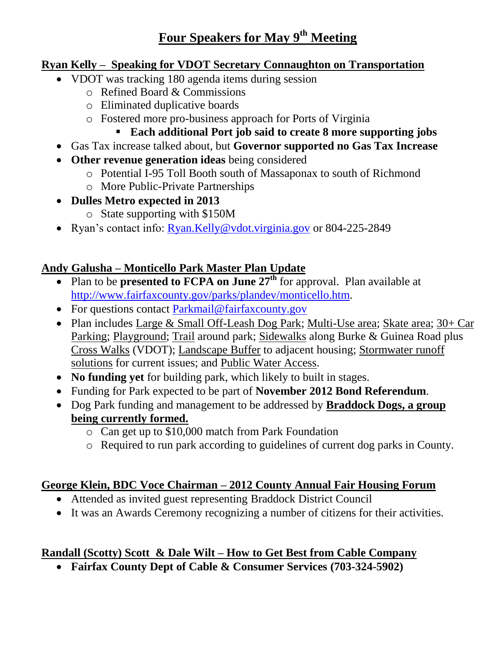## **Four Speakers for May 9th Meeting**

### **Ryan Kelly – Speaking for VDOT Secretary Connaughton on Transportation**

- VDOT was tracking 180 agenda items during session
	- o Refined Board & Commissions
	- o Eliminated duplicative boards
	- o Fostered more pro-business approach for Ports of Virginia
		- **Each additional Port job said to create 8 more supporting jobs**
- Gas Tax increase talked about, but **Governor supported no Gas Tax Increase**
- **Other revenue generation ideas** being considered
	- o Potential I-95 Toll Booth south of Massaponax to south of Richmond
	- o More Public-Private Partnerships
- **Dulles Metro expected in 2013**
	- o State supporting with \$150M
- Ryan's contact info: [Ryan.Kelly@vdot.virginia.gov](mailto:Ryan.Kelly@vdot.virginia.gov) or 804-225-2849

### **Andy Galusha – Monticello Park Master Plan Update**

- Plan to be **presented to FCPA on June 27<sup>th</sup>** for approval. Plan available at [http://www.fairfaxcounty.gov/parks/plandev/monticello.htm.](http://www.fairfaxcounty.gov/parks/plandev/monticello.htm)
- For questions contact [Parkmail@fairfaxcounty.gov](mailto:Parkmail@fairfaxcounty.gov)
- Plan includes Large & Small Off-Leash Dog Park; Multi-Use area; Skate area; 30+ Car Parking; Playground; Trail around park; Sidewalks along Burke & Guinea Road plus Cross Walks (VDOT); Landscape Buffer to adjacent housing; Stormwater runoff solutions for current issues; and Public Water Access.
- **No funding yet** for building park, which likely to built in stages.
- Funding for Park expected to be part of **November 2012 Bond Referendum**.
- Dog Park funding and management to be addressed by **Braddock Dogs, a group being currently formed.**
	- o Can get up to \$10,000 match from Park Foundation
	- o Required to run park according to guidelines of current dog parks in County.

### **George Klein, BDC Voce Chairman – 2012 County Annual Fair Housing Forum**

- Attended as invited guest representing Braddock District Council
- It was an Awards Ceremony recognizing a number of citizens for their activities.

### **Randall (Scotty) Scott & Dale Wilt – How to Get Best from Cable Company**

**Fairfax County Dept of Cable & Consumer Services (703-324-5902)**